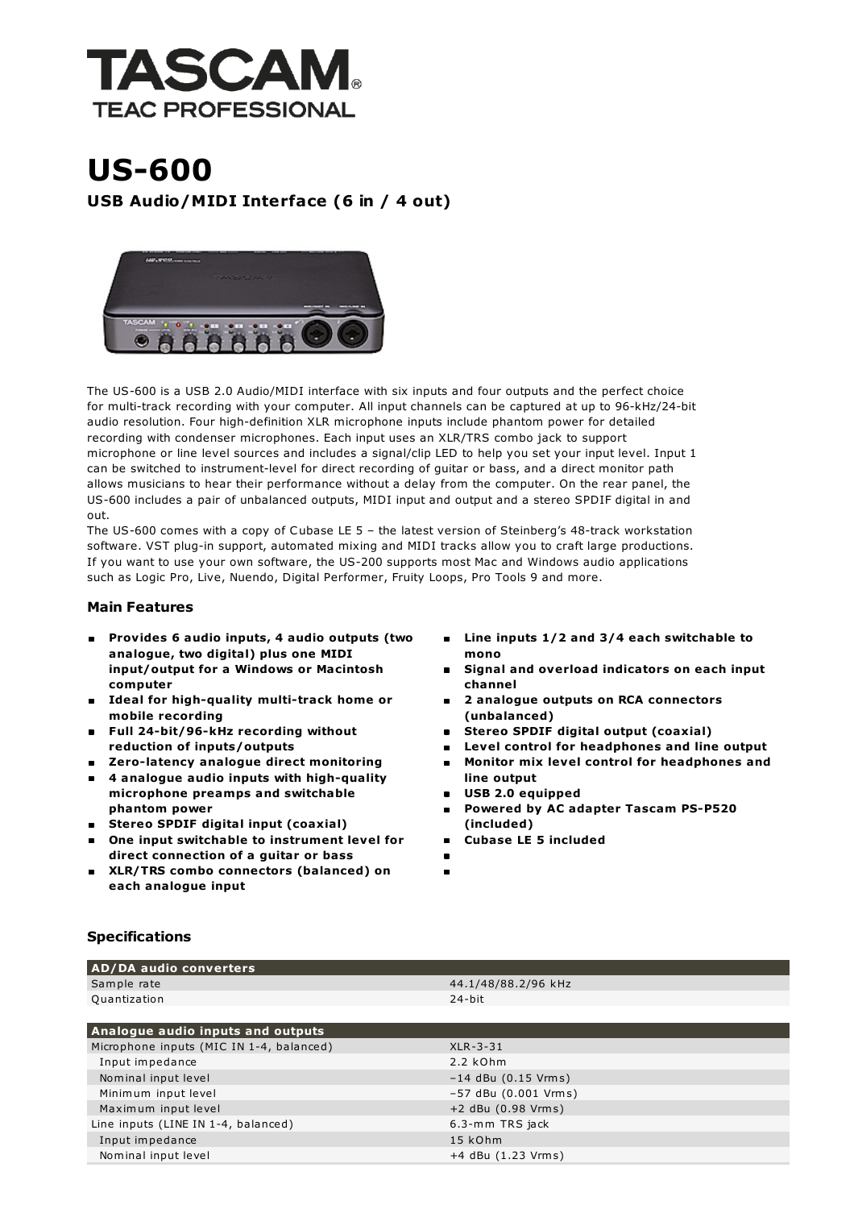

## US-600 USB Audio/MIDI Interface (6 in / 4 out)



The US-600 is a USB 2.0 Audio/MIDI interface with six inputs and four outputs and the perfect choice for multi-track recording with your computer. All input channels can be captured at up to 96-kHz/24-bit audio resolution. Four high-definition XLR microphone inputs include phantom power for detailed recording with condenser microphones. Each input uses an XLR/TRS combo jack to support microphone or line level sources and includes a signal/clip LED to help you set your input level. Input 1 can be switched to instrument-level for direct recording of guitar or bass, and a direct monitor path allows musicians to hear their performance without a delay from the computer. On the rear panel, the US-600 includes a pair of unbalanced outputs, MIDI input and output and a stereo SPDIF digital in and out.

The US-600 comes with a copy of Cubase LE 5 – the latest version of Steinberg's 48-track workstation software. VST plug-in support, automated mixing and MIDI tracks allow you to craft large productions. If you want to use your own software, the US-200 supports most Mac and Windows audio applications such as Logic Pro, Live, Nuendo, Digital Performer, Fruity Loops, Pro Tools 9 and more.

## Main Features

- Provides 6 audio inputs, 4 audio outputs (two  $\blacksquare$ analogue, two digital) plus one MIDI input/output for a Windows or Macintosh computer
- **Ideal for high-quality multi-track home or** mobile recording
- Full 24-bit/96-kHz recording without reduction of inputs/outputs
- Zero-latency analogue direct monitoring
- 4 analogue audio inputs with high-quality microphone preamps and switchable phantom power
- Stereo SPDIF digital input (coaxial)
- One input switchable to instrument level for direct connection of a guitar or bass
- XLR/TRS combo connectors (balanced) on each analogue input
- Line inputs 1/2 and 3/4 each switchable to mono
- Signal and overload indicators on each input channel
- 2 analogue outputs on RCA connectors (unbalanced)
- Stereo SPDIF digital output (coaxial)
- Level control for headphones and line output
- Monitor mix level control for headphones and line output
- USB 2.0 equipped
- Powered by AC adapter Tascam PS-P520 (included)
- Cubase LE 5 included É
- $\blacksquare$

## Specifications

AD/DA audio converters

| 1.2                                      |                        |
|------------------------------------------|------------------------|
| Sample rate                              | 44.1/48/88.2/96 kHz    |
| Quantization                             | 24-bit                 |
|                                          |                        |
| Analogue audio inputs and outputs        |                        |
| Microphone inputs (MIC IN 1-4, balanced) | $XLR - 3 - 31$         |
| Input impedance                          | $2.2$ kOhm             |
| Nominal input level                      | $-14$ dBu (0.15 Vrms)  |
| Minimum input level                      | $-57$ dBu (0.001 Vrms) |
| Maximum input level                      | +2 dBu (0.98 Vrms)     |
| Line inputs (LINE IN 1-4, balanced)      | 6.3-mm TRS jack        |
| Input impedance                          | 15 kOhm                |
| Nominal input level                      | $+4$ dBu $(1.23$ Vrms) |
|                                          |                        |